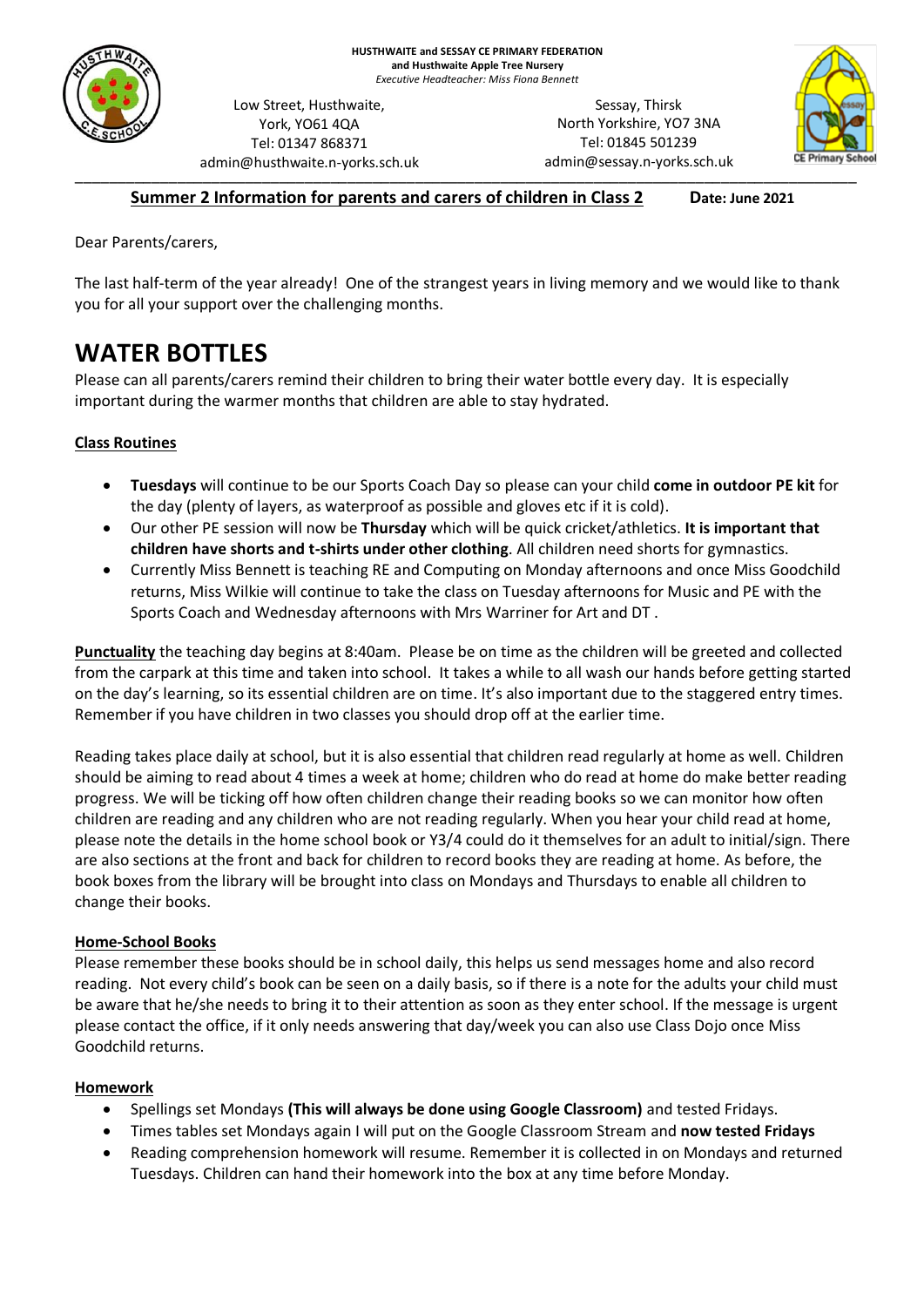

Low Street, Husthwaite, York, YO61 4QA Tel: 01347 868371 admin@husthwaite.n-yorks.sch.uk

\_\_\_\_\_\_\_\_\_\_\_\_\_\_\_\_\_\_\_\_\_\_\_\_\_\_\_\_\_\_\_\_\_\_\_\_\_\_\_\_\_\_\_\_\_\_\_\_\_\_\_\_\_\_\_\_\_\_\_\_\_\_\_\_\_\_\_\_\_\_\_\_\_\_\_\_\_\_\_\_\_\_\_\_\_\_\_\_\_\_\_\_ Sessay, Thirsk North Yorkshire, YO7 3NA Tel: 01845 501239 admin@sessay.n-yorks.sch.uk



### **Summer 2 Information for parents and carers of children in Class 2 Date: June 2021**

Dear Parents/carers,

The last half-term of the year already! One of the strangest years in living memory and we would like to thank you for all your support over the challenging months.

# **WATER BOTTLES**

Please can all parents/carers remind their children to bring their water bottle every day. It is especially important during the warmer months that children are able to stay hydrated.

### **Class Routines**

- **Tuesdays** will continue to be our Sports Coach Day so please can your child **come in outdoor PE kit** for the day (plenty of layers, as waterproof as possible and gloves etc if it is cold).
- Our other PE session will now be **Thursday** which will be quick cricket/athletics. **It is important that children have shorts and t-shirts under other clothing**. All children need shorts for gymnastics.
- Currently Miss Bennett is teaching RE and Computing on Monday afternoons and once Miss Goodchild returns, Miss Wilkie will continue to take the class on Tuesday afternoons for Music and PE with the Sports Coach and Wednesday afternoons with Mrs Warriner for Art and DT .

**Punctuality** the teaching day begins at 8:40am. Please be on time as the children will be greeted and collected from the carpark at this time and taken into school. It takes a while to all wash our hands before getting started on the day's learning, so its essential children are on time. It's also important due to the staggered entry times. Remember if you have children in two classes you should drop off at the earlier time.

Reading takes place daily at school, but it is also essential that children read regularly at home as well. Children should be aiming to read about 4 times a week at home; children who do read at home do make better reading progress. We will be ticking off how often children change their reading books so we can monitor how often children are reading and any children who are not reading regularly. When you hear your child read at home, please note the details in the home school book or Y3/4 could do it themselves for an adult to initial/sign. There are also sections at the front and back for children to record books they are reading at home. As before, the book boxes from the library will be brought into class on Mondays and Thursdays to enable all children to change their books.

### **Home-School Books**

Please remember these books should be in school daily, this helps us send messages home and also record reading. Not every child's book can be seen on a daily basis, so if there is a note for the adults your child must be aware that he/she needs to bring it to their attention as soon as they enter school. If the message is urgent please contact the office, if it only needs answering that day/week you can also use Class Dojo once Miss Goodchild returns.

#### **Homework**

- Spellings set Mondays **(This will always be done using Google Classroom)** and tested Fridays.
- Times tables set Mondays again I will put on the Google Classroom Stream and **now tested Fridays**
- Reading comprehension homework will resume. Remember it is collected in on Mondays and returned Tuesdays. Children can hand their homework into the box at any time before Monday.